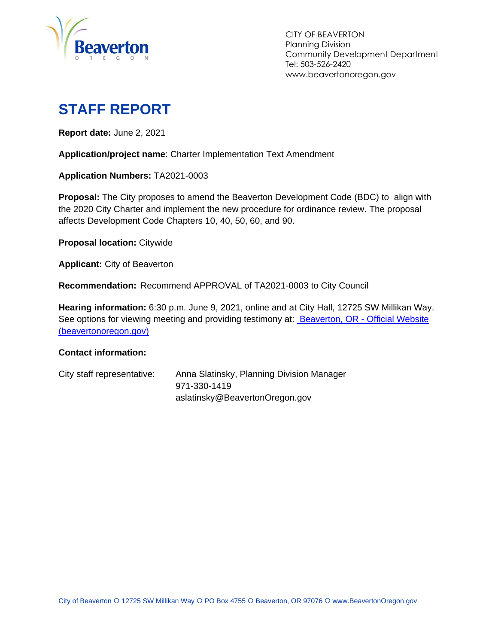

CITY OF BEAVERTON Planning Division Community Development Department Tel: 503-526-2420 www.beavertonoregon.gov

# <span id="page-0-0"></span>**STAFF REPORT**

**Report date:** June 2, 2021

**Application/project name**: Charter Implementation Text Amendment

**Application Numbers:** TA2021-0003

**Proposal:** The City proposes to amend the Beaverton Development Code (BDC) to align with the 2020 City Charter and implement the new procedure for ordinance review. The proposal affects Development Code Chapters 10, 40, 50, 60, and 90.

**Proposal location:** Citywide

**Applicant:** City of Beaverton

**Recommendation:** Recommend APPROVAL of TA2021-0003 to City Council

**Hearing information:** 6:30 p.m. June 9, 2021, online and at City Hall, 12725 SW Millikan Way. See options for viewing meeting and providing testimony at: [Beaverton, OR -](https://www.beavertonoregon.gov/291/Agendas-Minutes) Official Website [\(beavertonoregon.gov\)](https://www.beavertonoregon.gov/291/Agendas-Minutes)

#### **Contact information:**

| City staff representative: | Anna Slatinsky, Planning Division Manager |
|----------------------------|-------------------------------------------|
|                            | 971-330-1419                              |
|                            | aslatinsky@BeavertonOregon.gov            |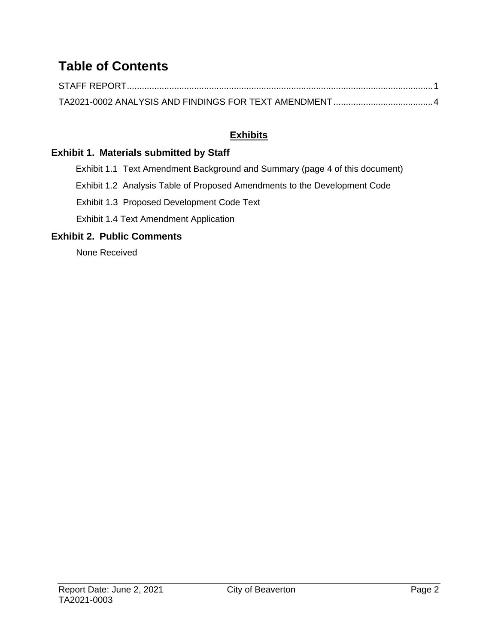## **Table of Contents**

#### **Exhibits**

#### **Exhibit 1. Materials submitted by Staff**

Exhibit 1.1 Text Amendment Background and Summary (page 4 of this document)

Exhibit 1.2 Analysis Table of Proposed Amendments to the Development Code

Exhibit 1.3 Proposed Development Code Text

Exhibit 1.4 Text Amendment Application

#### **Exhibit 2. Public Comments**

None Received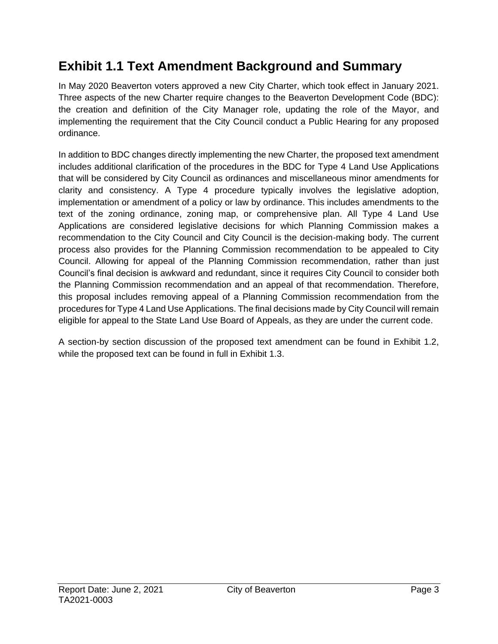## **Exhibit 1.1 Text Amendment Background and Summary**

In May 2020 Beaverton voters approved a new City Charter, which took effect in January 2021. Three aspects of the new Charter require changes to the Beaverton Development Code (BDC): the creation and definition of the City Manager role, updating the role of the Mayor, and implementing the requirement that the City Council conduct a Public Hearing for any proposed ordinance.

In addition to BDC changes directly implementing the new Charter, the proposed text amendment includes additional clarification of the procedures in the BDC for Type 4 Land Use Applications that will be considered by City Council as ordinances and miscellaneous minor amendments for clarity and consistency. A Type 4 procedure typically involves the legislative adoption, implementation or amendment of a policy or law by ordinance. This includes amendments to the text of the zoning ordinance, zoning map, or comprehensive plan. All Type 4 Land Use Applications are considered legislative decisions for which Planning Commission makes a recommendation to the City Council and City Council is the decision-making body. The current process also provides for the Planning Commission recommendation to be appealed to City Council. Allowing for appeal of the Planning Commission recommendation, rather than just Council's final decision is awkward and redundant, since it requires City Council to consider both the Planning Commission recommendation and an appeal of that recommendation. Therefore, this proposal includes removing appeal of a Planning Commission recommendation from the procedures for Type 4 Land Use Applications. The final decisions made by City Council will remain eligible for appeal to the State Land Use Board of Appeals, as they are under the current code.

A section-by section discussion of the proposed text amendment can be found in Exhibit 1.2, while the proposed text can be found in full in Exhibit 1.3.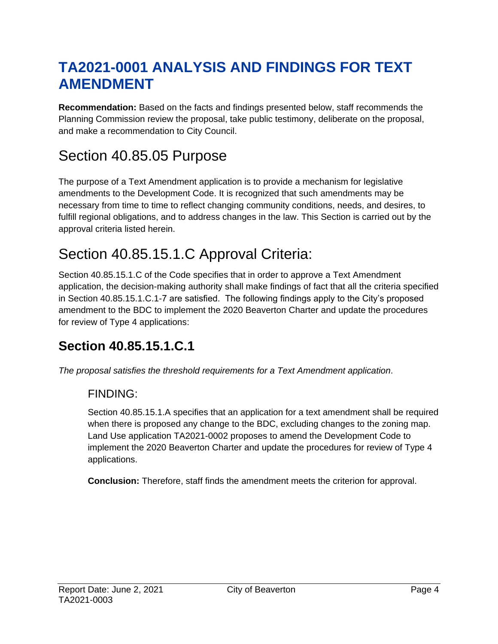# <span id="page-3-0"></span>**TA2021-0001 ANALYSIS AND FINDINGS FOR TEXT AMENDMENT**

**Recommendation:** Based on the facts and findings presented below, staff recommends the Planning Commission review the proposal, take public testimony, deliberate on the proposal, and make a recommendation to City Council.

# Section 40.85.05 Purpose

The purpose of a Text Amendment application is to provide a mechanism for legislative amendments to the Development Code. It is recognized that such amendments may be necessary from time to time to reflect changing community conditions, needs, and desires, to fulfill regional obligations, and to address changes in the law. This Section is carried out by the approval criteria listed herein.

# Section 40.85.15.1.C Approval Criteria:

Section 40.85.15.1.C of the Code specifies that in order to approve a Text Amendment application, the decision-making authority shall make findings of fact that all the criteria specified in Section 40.85.15.1.C.1-7 are satisfied. The following findings apply to the City's proposed amendment to the BDC to implement the 2020 Beaverton Charter and update the procedures for review of Type 4 applications:

## **Section 40.85.15.1.C.1**

*The proposal satisfies the threshold requirements for a Text Amendment application*.

### FINDING:

Section 40.85.15.1.A specifies that an application for a text amendment shall be required when there is proposed any change to the BDC, excluding changes to the zoning map. Land Use application TA2021-0002 proposes to amend the Development Code to implement the 2020 Beaverton Charter and update the procedures for review of Type 4 applications.

**Conclusion:** Therefore, staff finds the amendment meets the criterion for approval.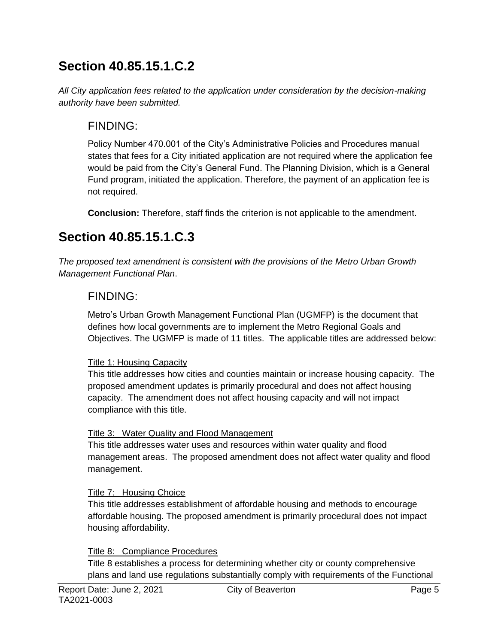## **Section 40.85.15.1.C.2**

*All City application fees related to the application under consideration by the decision-making authority have been submitted.*

### FINDING:

Policy Number 470.001 of the City's Administrative Policies and Procedures manual states that fees for a City initiated application are not required where the application fee would be paid from the City's General Fund. The Planning Division, which is a General Fund program, initiated the application. Therefore, the payment of an application fee is not required.

**Conclusion:** Therefore, staff finds the criterion is not applicable to the amendment.

## **Section 40.85.15.1.C.3**

*The proposed text amendment is consistent with the provisions of the Metro Urban Growth Management Functional Plan*.

### FINDING:

Metro's Urban Growth Management Functional Plan (UGMFP) is the document that defines how local governments are to implement the Metro Regional Goals and Objectives. The UGMFP is made of 11 titles. The applicable titles are addressed below:

#### Title 1: Housing Capacity

This title addresses how cities and counties maintain or increase housing capacity. The proposed amendment updates is primarily procedural and does not affect housing capacity. The amendment does not affect housing capacity and will not impact compliance with this title.

#### Title 3: Water Quality and Flood Management

This title addresses water uses and resources within water quality and flood management areas. The proposed amendment does not affect water quality and flood management.

#### Title 7: Housing Choice

This title addresses establishment of affordable housing and methods to encourage affordable housing. The proposed amendment is primarily procedural does not impact housing affordability.

#### Title 8: Compliance Procedures

Title 8 establishes a process for determining whether city or county comprehensive plans and land use regulations substantially comply with requirements of the Functional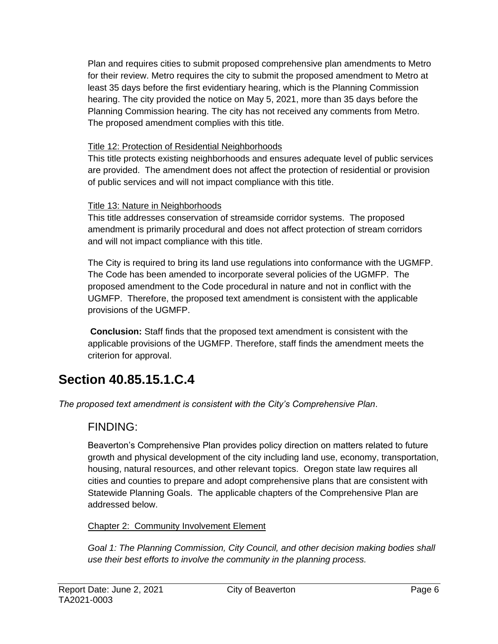Plan and requires cities to submit proposed comprehensive plan amendments to Metro for their review. Metro requires the city to submit the proposed amendment to Metro at least 35 days before the first evidentiary hearing, which is the Planning Commission hearing. The city provided the notice on May 5, 2021, more than 35 days before the Planning Commission hearing. The city has not received any comments from Metro. The proposed amendment complies with this title.

#### Title 12: Protection of Residential Neighborhoods

This title protects existing neighborhoods and ensures adequate level of public services are provided. The amendment does not affect the protection of residential or provision of public services and will not impact compliance with this title.

#### Title 13: Nature in Neighborhoods

This title addresses conservation of streamside corridor systems. The proposed amendment is primarily procedural and does not affect protection of stream corridors and will not impact compliance with this title.

The City is required to bring its land use regulations into conformance with the UGMFP. The Code has been amended to incorporate several policies of the UGMFP. The proposed amendment to the Code procedural in nature and not in conflict with the UGMFP. Therefore, the proposed text amendment is consistent with the applicable provisions of the UGMFP.

**Conclusion:** Staff finds that the proposed text amendment is consistent with the applicable provisions of the UGMFP. Therefore, staff finds the amendment meets the criterion for approval.

# **Section 40.85.15.1.C.4**

*The proposed text amendment is consistent with the City's Comprehensive Plan*.

### FINDING:

Beaverton's Comprehensive Plan provides policy direction on matters related to future growth and physical development of the city including land use, economy, transportation, housing, natural resources, and other relevant topics. Oregon state law requires all cities and counties to prepare and adopt comprehensive plans that are consistent with Statewide Planning Goals. The applicable chapters of the Comprehensive Plan are addressed below.

#### Chapter 2: Community Involvement Element

Goal 1: The Planning Commission, City Council, and other decision making bodies shall *use their best efforts to involve the community in the planning process.*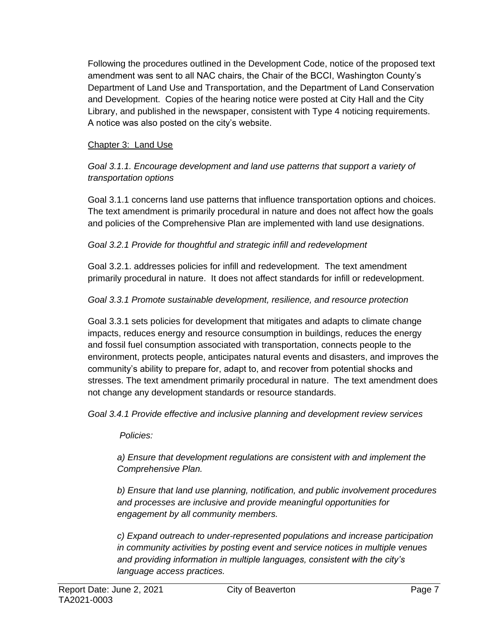Following the procedures outlined in the Development Code, notice of the proposed text amendment was sent to all NAC chairs, the Chair of the BCCI, Washington County's Department of Land Use and Transportation, and the Department of Land Conservation and Development. Copies of the hearing notice were posted at City Hall and the City Library, and published in the newspaper, consistent with Type 4 noticing requirements. A notice was also posted on the city's website.

#### Chapter 3: Land Use

*Goal 3.1.1. Encourage development and land use patterns that support a variety of transportation options*

Goal 3.1.1 concerns land use patterns that influence transportation options and choices. The text amendment is primarily procedural in nature and does not affect how the goals and policies of the Comprehensive Plan are implemented with land use designations.

#### *Goal 3.2.1 Provide for thoughtful and strategic infill and redevelopment*

Goal 3.2.1. addresses policies for infill and redevelopment. The text amendment primarily procedural in nature. It does not affect standards for infill or redevelopment.

#### *Goal 3.3.1 Promote sustainable development, resilience, and resource protection*

Goal 3.3.1 sets policies for development that mitigates and adapts to climate change impacts, reduces energy and resource consumption in buildings, reduces the energy and fossil fuel consumption associated with transportation, connects people to the environment, protects people, anticipates natural events and disasters, and improves the community's ability to prepare for, adapt to, and recover from potential shocks and stresses. The text amendment primarily procedural in nature. The text amendment does not change any development standards or resource standards.

*Goal 3.4.1 Provide effective and inclusive planning and development review services*

*Policies:*

*a) Ensure that development regulations are consistent with and implement the Comprehensive Plan.*

*b) Ensure that land use planning, notification, and public involvement procedures and processes are inclusive and provide meaningful opportunities for engagement by all community members.*

*c) Expand outreach to under-represented populations and increase participation in community activities by posting event and service notices in multiple venues and providing information in multiple languages, consistent with the city's language access practices.*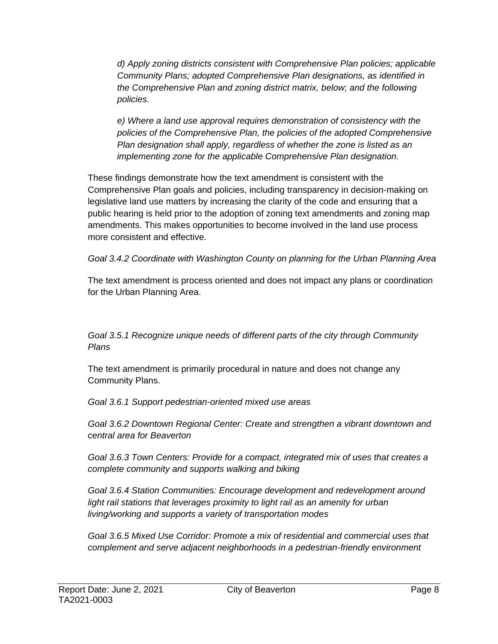*d) Apply zoning districts consistent with Comprehensive Plan policies; applicable Community Plans; adopted Comprehensive Plan designations, as identified in the Comprehensive Plan and zoning district matrix, below; and the following policies.*

*e) Where a land use approval requires demonstration of consistency with the policies of the Comprehensive Plan, the policies of the adopted Comprehensive Plan designation shall apply, regardless of whether the zone is listed as an implementing zone for the applicable Comprehensive Plan designation.*

These findings demonstrate how the text amendment is consistent with the Comprehensive Plan goals and policies, including transparency in decision-making on legislative land use matters by increasing the clarity of the code and ensuring that a public hearing is held prior to the adoption of zoning text amendments and zoning map amendments. This makes opportunities to become involved in the land use process more consistent and effective.

*Goal 3.4.2 Coordinate with Washington County on planning for the Urban Planning Area*

The text amendment is process oriented and does not impact any plans or coordination for the Urban Planning Area.

*Goal 3.5.1 Recognize unique needs of different parts of the city through Community Plans*

The text amendment is primarily procedural in nature and does not change any Community Plans.

*Goal 3.6.1 Support pedestrian-oriented mixed use areas*

*Goal 3.6.2 Downtown Regional Center: Create and strengthen a vibrant downtown and central area for Beaverton*

*Goal 3.6.3 Town Centers: Provide for a compact, integrated mix of uses that creates a complete community and supports walking and biking*

*Goal 3.6.4 Station Communities: Encourage development and redevelopment around*  light rail stations that leverages proximity to light rail as an amenity for urban *living/working and supports a variety of transportation modes*

*Goal 3.6.5 Mixed Use Corridor: Promote a mix of residential and commercial uses that complement and serve adjacent neighborhoods in a pedestrian-friendly environment*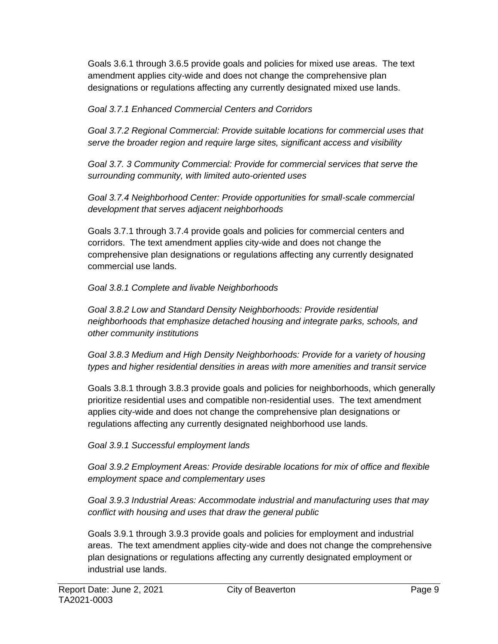Goals 3.6.1 through 3.6.5 provide goals and policies for mixed use areas. The text amendment applies city-wide and does not change the comprehensive plan designations or regulations affecting any currently designated mixed use lands.

*Goal 3.7.1 Enhanced Commercial Centers and Corridors*

*Goal 3.7.2 Regional Commercial: Provide suitable locations for commercial uses that serve the broader region and require large sites, significant access and visibility*

*Goal 3.7. 3 Community Commercial: Provide for commercial services that serve the surrounding community, with limited auto-oriented uses*

*Goal 3.7.4 Neighborhood Center: Provide opportunities for small-scale commercial development that serves adjacent neighborhoods*

Goals 3.7.1 through 3.7.4 provide goals and policies for commercial centers and corridors. The text amendment applies city-wide and does not change the comprehensive plan designations or regulations affecting any currently designated commercial use lands.

*Goal 3.8.1 Complete and livable Neighborhoods*

*Goal 3.8.2 Low and Standard Density Neighborhoods: Provide residential neighborhoods that emphasize detached housing and integrate parks, schools, and other community institutions*

*Goal 3.8.3 Medium and High Density Neighborhoods: Provide for a variety of housing types and higher residential densities in areas with more amenities and transit service*

Goals 3.8.1 through 3.8.3 provide goals and policies for neighborhoods, which generally prioritize residential uses and compatible non-residential uses. The text amendment applies city-wide and does not change the comprehensive plan designations or regulations affecting any currently designated neighborhood use lands.

*Goal 3.9.1 Successful employment lands*

*Goal 3.9.2 Employment Areas: Provide desirable locations for mix of office and flexible employment space and complementary uses*

*Goal 3.9.3 Industrial Areas: Accommodate industrial and manufacturing uses that may conflict with housing and uses that draw the general public*

Goals 3.9.1 through 3.9.3 provide goals and policies for employment and industrial areas. The text amendment applies city-wide and does not change the comprehensive plan designations or regulations affecting any currently designated employment or industrial use lands.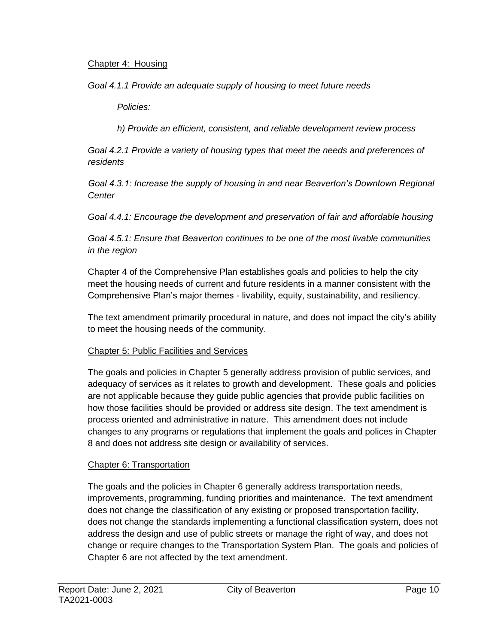#### Chapter 4: Housing

*Goal 4.1.1 Provide an adequate supply of housing to meet future needs*

*Policies:*

*h) Provide an efficient, consistent, and reliable development review process*

*Goal 4.2.1 Provide a variety of housing types that meet the needs and preferences of residents*

*Goal 4.3.1: Increase the supply of housing in and near Beaverton's Downtown Regional Center*

*Goal 4.4.1: Encourage the development and preservation of fair and affordable housing*

*Goal 4.5.1: Ensure that Beaverton continues to be one of the most livable communities in the region*

Chapter 4 of the Comprehensive Plan establishes goals and policies to help the city meet the housing needs of current and future residents in a manner consistent with the Comprehensive Plan's major themes - livability, equity, sustainability, and resiliency.

The text amendment primarily procedural in nature, and does not impact the city's ability to meet the housing needs of the community.

#### Chapter 5: Public Facilities and Services

The goals and policies in Chapter 5 generally address provision of public services, and adequacy of services as it relates to growth and development. These goals and policies are not applicable because they guide public agencies that provide public facilities on how those facilities should be provided or address site design. The text amendment is process oriented and administrative in nature. This amendment does not include changes to any programs or regulations that implement the goals and polices in Chapter 8 and does not address site design or availability of services.

#### Chapter 6: Transportation

The goals and the policies in Chapter 6 generally address transportation needs, improvements, programming, funding priorities and maintenance. The text amendment does not change the classification of any existing or proposed transportation facility, does not change the standards implementing a functional classification system, does not address the design and use of public streets or manage the right of way, and does not change or require changes to the Transportation System Plan. The goals and policies of Chapter 6 are not affected by the text amendment.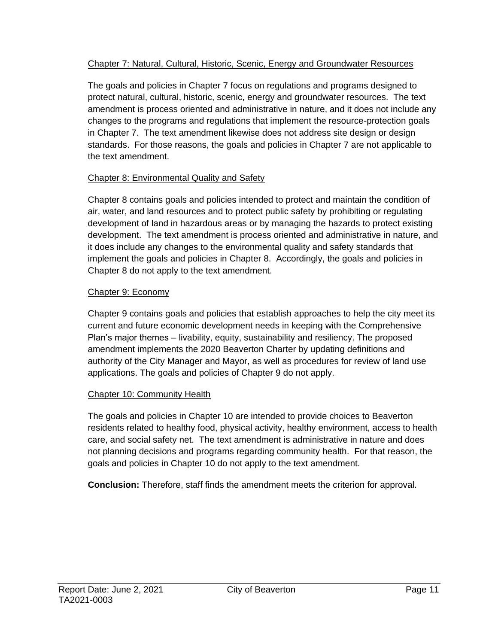#### Chapter 7: Natural, Cultural, Historic, Scenic, Energy and Groundwater Resources

The goals and policies in Chapter 7 focus on regulations and programs designed to protect natural, cultural, historic, scenic, energy and groundwater resources. The text amendment is process oriented and administrative in nature, and it does not include any changes to the programs and regulations that implement the resource-protection goals in Chapter 7. The text amendment likewise does not address site design or design standards. For those reasons, the goals and policies in Chapter 7 are not applicable to the text amendment.

#### Chapter 8: Environmental Quality and Safety

Chapter 8 contains goals and policies intended to protect and maintain the condition of air, water, and land resources and to protect public safety by prohibiting or regulating development of land in hazardous areas or by managing the hazards to protect existing development. The text amendment is process oriented and administrative in nature, and it does include any changes to the environmental quality and safety standards that implement the goals and policies in Chapter 8. Accordingly, the goals and policies in Chapter 8 do not apply to the text amendment.

#### Chapter 9: Economy

Chapter 9 contains goals and policies that establish approaches to help the city meet its current and future economic development needs in keeping with the Comprehensive Plan's major themes – livability, equity, sustainability and resiliency. The proposed amendment implements the 2020 Beaverton Charter by updating definitions and authority of the City Manager and Mayor, as well as procedures for review of land use applications. The goals and policies of Chapter 9 do not apply.

#### Chapter 10: Community Health

The goals and policies in Chapter 10 are intended to provide choices to Beaverton residents related to healthy food, physical activity, healthy environment, access to health care, and social safety net. The text amendment is administrative in nature and does not planning decisions and programs regarding community health. For that reason, the goals and policies in Chapter 10 do not apply to the text amendment.

**Conclusion:** Therefore, staff finds the amendment meets the criterion for approval.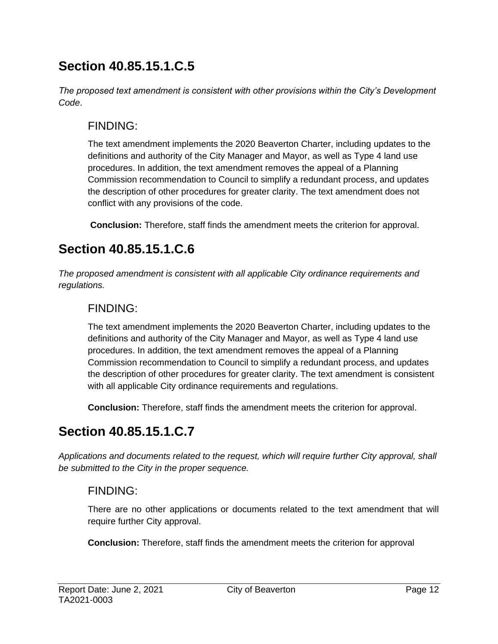## **Section 40.85.15.1.C.5**

*The proposed text amendment is consistent with other provisions within the City's Development Code*.

### FINDING:

The text amendment implements the 2020 Beaverton Charter, including updates to the definitions and authority of the City Manager and Mayor, as well as Type 4 land use procedures. In addition, the text amendment removes the appeal of a Planning Commission recommendation to Council to simplify a redundant process, and updates the description of other procedures for greater clarity. The text amendment does not conflict with any provisions of the code.

**Conclusion:** Therefore, staff finds the amendment meets the criterion for approval.

## **Section 40.85.15.1.C.6**

*The proposed amendment is consistent with all applicable City ordinance requirements and regulations.* 

### FINDING:

The text amendment implements the 2020 Beaverton Charter, including updates to the definitions and authority of the City Manager and Mayor, as well as Type 4 land use procedures. In addition, the text amendment removes the appeal of a Planning Commission recommendation to Council to simplify a redundant process, and updates the description of other procedures for greater clarity. The text amendment is consistent with all applicable City ordinance requirements and regulations.

**Conclusion:** Therefore, staff finds the amendment meets the criterion for approval.

## **Section 40.85.15.1.C.7**

*Applications and documents related to the request, which will require further City approval, shall be submitted to the City in the proper sequence.*

### FINDING:

There are no other applications or documents related to the text amendment that will require further City approval.

**Conclusion:** Therefore, staff finds the amendment meets the criterion for approval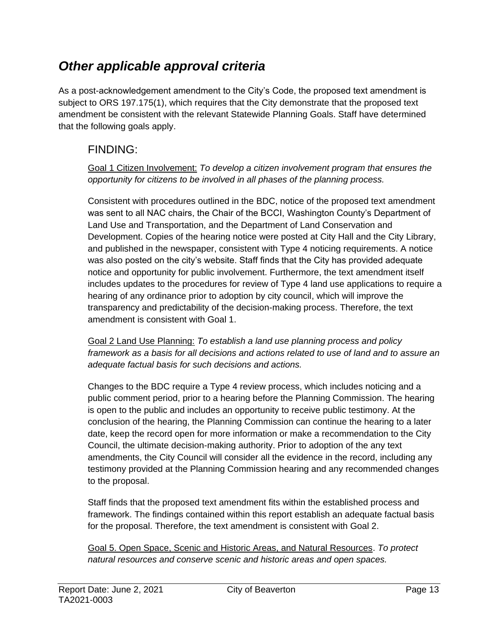### *Other applicable approval criteria*

As a post-acknowledgement amendment to the City's Code, the proposed text amendment is subject to ORS 197.175(1), which requires that the City demonstrate that the proposed text amendment be consistent with the relevant Statewide Planning Goals. Staff have determined that the following goals apply.

### FINDING:

Goal 1 Citizen Involvement: *To develop a citizen involvement program that ensures the opportunity for citizens to be involved in all phases of the planning process.*

Consistent with procedures outlined in the BDC, notice of the proposed text amendment was sent to all NAC chairs, the Chair of the BCCI, Washington County's Department of Land Use and Transportation, and the Department of Land Conservation and Development. Copies of the hearing notice were posted at City Hall and the City Library, and published in the newspaper, consistent with Type 4 noticing requirements. A notice was also posted on the city's website. Staff finds that the City has provided adequate notice and opportunity for public involvement. Furthermore, the text amendment itself includes updates to the procedures for review of Type 4 land use applications to require a hearing of any ordinance prior to adoption by city council, which will improve the transparency and predictability of the decision-making process. Therefore, the text amendment is consistent with Goal 1.

Goal 2 Land Use Planning: *To establish a land use planning process and policy framework as a basis for all decisions and actions related to use of land and to assure an adequate factual basis for such decisions and actions.*

Changes to the BDC require a Type 4 review process, which includes noticing and a public comment period, prior to a hearing before the Planning Commission. The hearing is open to the public and includes an opportunity to receive public testimony. At the conclusion of the hearing, the Planning Commission can continue the hearing to a later date, keep the record open for more information or make a recommendation to the City Council, the ultimate decision-making authority. Prior to adoption of the any text amendments, the City Council will consider all the evidence in the record, including any testimony provided at the Planning Commission hearing and any recommended changes to the proposal.

Staff finds that the proposed text amendment fits within the established process and framework. The findings contained within this report establish an adequate factual basis for the proposal. Therefore, the text amendment is consistent with Goal 2.

Goal 5. Open Space, Scenic and Historic Areas, and Natural Resources. *To protect natural resources and conserve scenic and historic areas and open spaces.*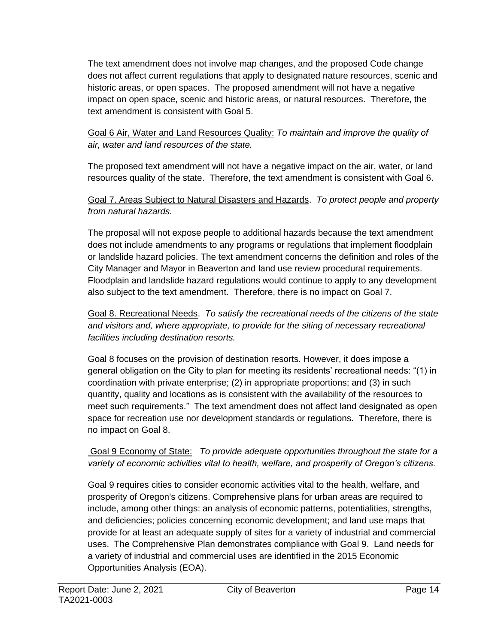The text amendment does not involve map changes, and the proposed Code change does not affect current regulations that apply to designated nature resources, scenic and historic areas, or open spaces. The proposed amendment will not have a negative impact on open space, scenic and historic areas, or natural resources. Therefore, the text amendment is consistent with Goal 5.

Goal 6 Air, Water and Land Resources Quality: *To maintain and improve the quality of air, water and land resources of the state.*

The proposed text amendment will not have a negative impact on the air, water, or land resources quality of the state. Therefore, the text amendment is consistent with Goal 6.

#### Goal 7. Areas Subject to Natural Disasters and Hazards. *To protect people and property from natural hazards.*

The proposal will not expose people to additional hazards because the text amendment does not include amendments to any programs or regulations that implement floodplain or landslide hazard policies. The text amendment concerns the definition and roles of the City Manager and Mayor in Beaverton and land use review procedural requirements. Floodplain and landslide hazard regulations would continue to apply to any development also subject to the text amendment. Therefore, there is no impact on Goal 7.

Goal 8. Recreational Needs. *To satisfy the recreational needs of the citizens of the state and visitors and, where appropriate, to provide for the siting of necessary recreational facilities including destination resorts.*

Goal 8 focuses on the provision of destination resorts. However, it does impose a general obligation on the City to plan for meeting its residents' recreational needs: "(1) in coordination with private enterprise; (2) in appropriate proportions; and (3) in such quantity, quality and locations as is consistent with the availability of the resources to meet such requirements." The text amendment does not affect land designated as open space for recreation use nor development standards or regulations. Therefore, there is no impact on Goal 8.

#### Goal 9 Economy of State: *To provide adequate opportunities throughout the state for a variety of economic activities vital to health, welfare, and prosperity of Oregon's citizens.*

Goal 9 requires cities to consider economic activities vital to the health, welfare, and prosperity of Oregon's citizens. Comprehensive plans for urban areas are required to include, among other things: an analysis of economic patterns, potentialities, strengths, and deficiencies; policies concerning economic development; and land use maps that provide for at least an adequate supply of sites for a variety of industrial and commercial uses. The Comprehensive Plan demonstrates compliance with Goal 9. Land needs for a variety of industrial and commercial uses are identified in the 2015 Economic Opportunities Analysis (EOA).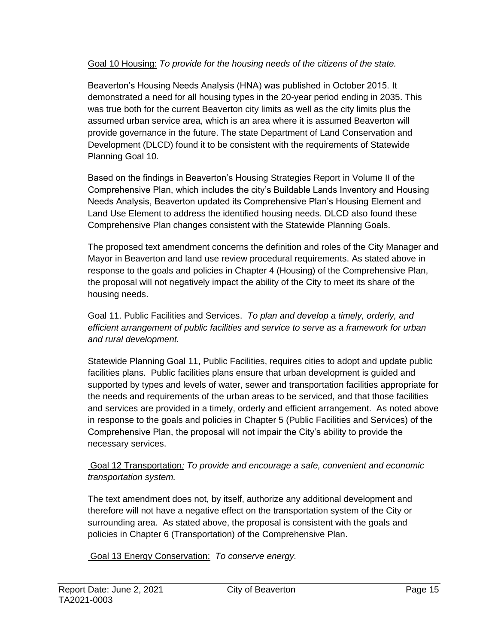#### Goal 10 Housing: *To provide for the housing needs of the citizens of the state.*

Beaverton's Housing Needs Analysis (HNA) was published in October 2015. It demonstrated a need for all housing types in the 20-year period ending in 2035. This was true both for the current Beaverton city limits as well as the city limits plus the assumed urban service area, which is an area where it is assumed Beaverton will provide governance in the future. The state Department of Land Conservation and Development (DLCD) found it to be consistent with the requirements of Statewide Planning Goal 10.

Based on the findings in Beaverton's Housing Strategies Report in Volume II of the Comprehensive Plan, which includes the city's Buildable Lands Inventory and Housing Needs Analysis, Beaverton updated its Comprehensive Plan's Housing Element and Land Use Element to address the identified housing needs. DLCD also found these Comprehensive Plan changes consistent with the Statewide Planning Goals.

The proposed text amendment concerns the definition and roles of the City Manager and Mayor in Beaverton and land use review procedural requirements. As stated above in response to the goals and policies in Chapter 4 (Housing) of the Comprehensive Plan, the proposal will not negatively impact the ability of the City to meet its share of the housing needs.

Goal 11. Public Facilities and Services. *To plan and develop a timely, orderly, and efficient arrangement of public facilities and service to serve as a framework for urban and rural development.*

Statewide Planning Goal 11, Public Facilities, requires cities to adopt and update public facilities plans. Public facilities plans ensure that urban development is guided and supported by types and levels of water, sewer and transportation facilities appropriate for the needs and requirements of the urban areas to be serviced, and that those facilities and services are provided in a timely, orderly and efficient arrangement. As noted above in response to the goals and policies in Chapter 5 (Public Facilities and Services) of the Comprehensive Plan, the proposal will not impair the City's ability to provide the necessary services.

#### Goal 12 Transportation*: To provide and encourage a safe, convenient and economic transportation system.*

The text amendment does not, by itself, authorize any additional development and therefore will not have a negative effect on the transportation system of the City or surrounding area. As stated above, the proposal is consistent with the goals and policies in Chapter 6 (Transportation) of the Comprehensive Plan.

Goal 13 Energy Conservation: *To conserve energy.*